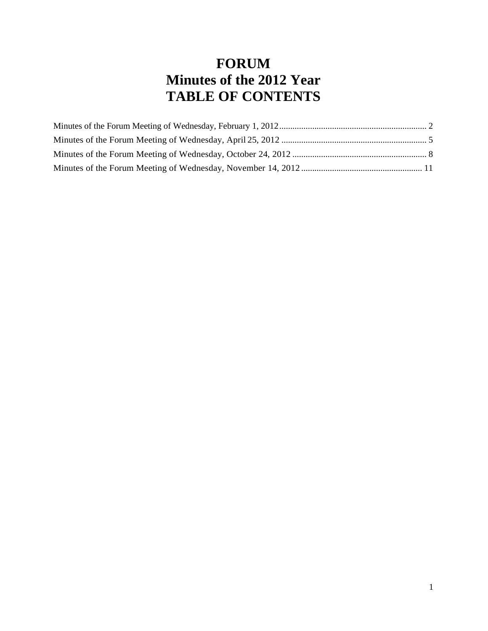# **FORUM Minutes of the 2012 Year TABLE OF CONTENTS**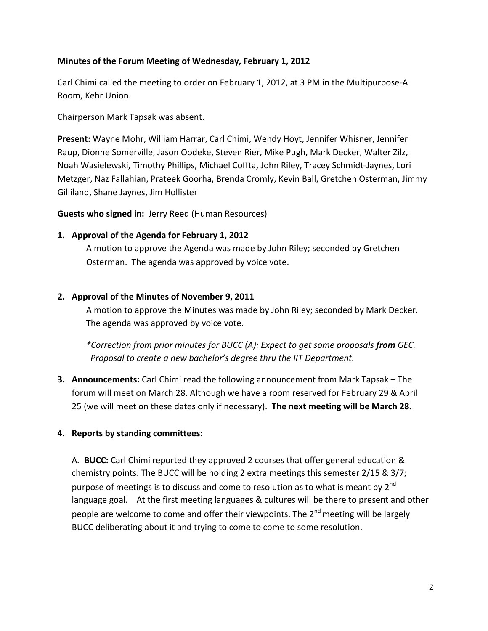# <span id="page-1-0"></span>**Minutes of the Forum Meeting of Wednesday, February 1, 2012**

Carl Chimi called the meeting to order on February 1, 2012, at 3 PM in the Multipurpose-A Room, Kehr Union.

Chairperson Mark Tapsak was absent.

**Present:** Wayne Mohr, William Harrar, Carl Chimi, Wendy Hoyt, Jennifer Whisner, Jennifer Raup, Dionne Somerville, Jason Oodeke, Steven Rier, Mike Pugh, Mark Decker, Walter Zilz, Noah Wasielewski, Timothy Phillips, Michael Coffta, John Riley, Tracey Schmidt-Jaynes, Lori Metzger, Naz Fallahian, Prateek Goorha, Brenda Cromly, Kevin Ball, Gretchen Osterman, Jimmy Gilliland, Shane Jaynes, Jim Hollister

**Guests who signed in:** Jerry Reed (Human Resources)

# **1. Approval of the Agenda for February 1, 2012**

A motion to approve the Agenda was made by John Riley; seconded by Gretchen Osterman. The agenda was approved by voice vote.

# **2. Approval of the Minutes of November 9, 2011**

A motion to approve the Minutes was made by John Riley; seconded by Mark Decker. The agenda was approved by voice vote.

*\*Correction from prior minutes for BUCC (A): Expect to get some proposals from GEC. Proposal to create a new bachelor's degree thru the IIT Department.*

**3. Announcements:** Carl Chimi read the following announcement from Mark Tapsak – The forum will meet on March 28. Although we have a room reserved for February 29 & April 25 (we will meet on these dates only if necessary). **The next meeting will be March 28.**

# **4. Reports by standing committees**:

A. **BUCC:** Carl Chimi reported they approved 2 courses that offer general education & chemistry points. The BUCC will be holding 2 extra meetings this semester 2/15 & 3/7; purpose of meetings is to discuss and come to resolution as to what is meant by  $2^{nd}$ language goal. At the first meeting languages & cultures will be there to present and other people are welcome to come and offer their viewpoints. The 2<sup>nd</sup> meeting will be largely BUCC deliberating about it and trying to come to come to some resolution.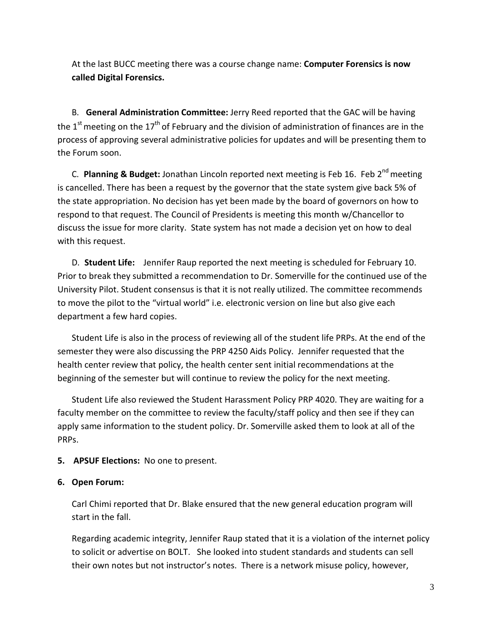At the last BUCC meeting there was a course change name: **Computer Forensics is now called Digital Forensics.**

B. **General Administration Committee:** Jerry Reed reported that the GAC will be having the  $1<sup>st</sup>$  meeting on the  $17<sup>th</sup>$  of February and the division of administration of finances are in the process of approving several administrative policies for updates and will be presenting them to the Forum soon.

C. **Planning & Budget:** Jonathan Lincoln reported next meeting is Feb 16. Feb 2<sup>nd</sup> meeting is cancelled. There has been a request by the governor that the state system give back 5% of the state appropriation. No decision has yet been made by the board of governors on how to respond to that request. The Council of Presidents is meeting this month w/Chancellor to discuss the issue for more clarity. State system has not made a decision yet on how to deal with this request.

D. **Student Life:** Jennifer Raup reported the next meeting is scheduled for February 10. Prior to break they submitted a recommendation to Dr. Somerville for the continued use of the University Pilot. Student consensus is that it is not really utilized. The committee recommends to move the pilot to the "virtual world" i.e. electronic version on line but also give each department a few hard copies.

Student Life is also in the process of reviewing all of the student life PRPs. At the end of the semester they were also discussing the PRP 4250 Aids Policy. Jennifer requested that the health center review that policy, the health center sent initial recommendations at the beginning of the semester but will continue to review the policy for the next meeting.

Student Life also reviewed the Student Harassment Policy PRP 4020. They are waiting for a faculty member on the committee to review the faculty/staff policy and then see if they can apply same information to the student policy. Dr. Somerville asked them to look at all of the PRPs.

**5. APSUF Elections:** No one to present.

# **6. Open Forum:**

Carl Chimi reported that Dr. Blake ensured that the new general education program will start in the fall.

Regarding academic integrity, Jennifer Raup stated that it is a violation of the internet policy to solicit or advertise on BOLT. She looked into student standards and students can sell their own notes but not instructor's notes. There is a network misuse policy, however,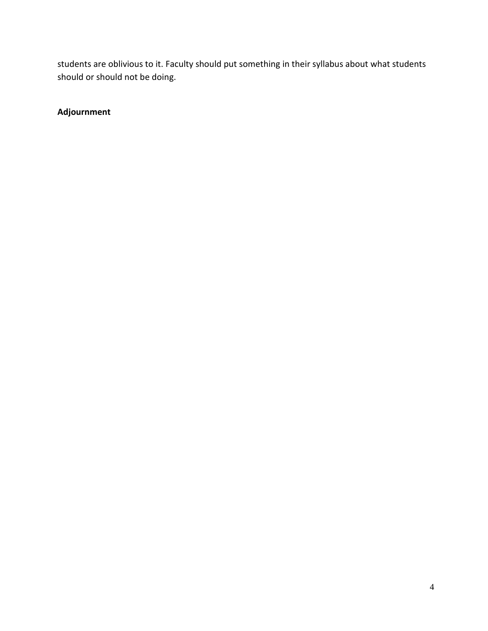students are oblivious to it. Faculty should put something in their syllabus about what students should or should not be doing.

**Adjournment**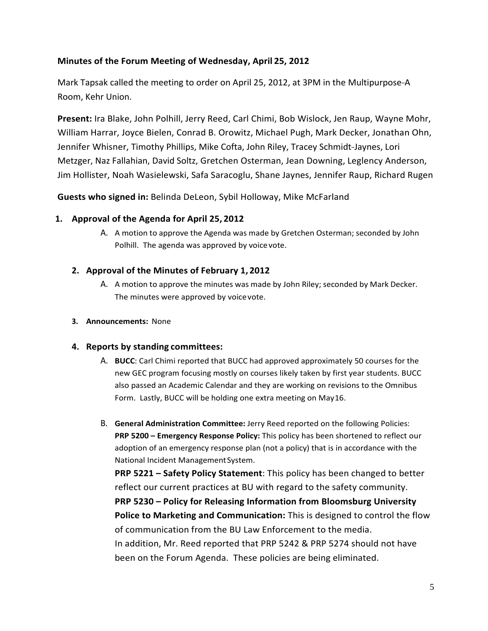# <span id="page-4-0"></span>**Minutes of the Forum Meeting of Wednesday, April 25, 2012**

Mark Tapsak called the meeting to order on April 25, 2012, at 3PM in the Multipurpose-A Room, Kehr Union.

**Present:** Ira Blake, John Polhill, Jerry Reed, Carl Chimi, Bob Wislock, Jen Raup, Wayne Mohr, William Harrar, Joyce Bielen, Conrad B. Orowitz, Michael Pugh, Mark Decker, Jonathan Ohn, Jennifer Whisner, Timothy Phillips, Mike Cofta, John Riley, Tracey Schmidt-Jaynes, Lori Metzger, Naz Fallahian, David Soltz, Gretchen Osterman, Jean Downing, Leglency Anderson, Jim Hollister, Noah Wasielewski, Safa Saracoglu, Shane Jaynes, Jennifer Raup, Richard Rugen

**Guests who signed in:** Belinda DeLeon, Sybil Holloway, Mike McFarland

# **1. Approval of the Agenda for April 25, 2012**

A. A motion to approve the Agenda was made by Gretchen Osterman; seconded by John Polhill. The agenda was approved by voicevote.

#### **2. Approval of the Minutes of February 1, 2012**

A. A motion to approve the minutes was made by John Riley; seconded by Mark Decker. The minutes were approved by voice vote.

#### **3. Announcements:** None

#### **4. Reports by standing committees:**

- A. **BUCC**: Carl Chimi reported that BUCC had approved approximately 50 courses for the new GEC program focusing mostly on courses likely taken by first year students. BUCC also passed an Academic Calendar and they are working on revisions to the Omnibus Form. Lastly, BUCC will be holding one extra meeting on May16.
- B. **General Administration Committee:** Jerry Reed reported on the following Policies: **PRP 5200 – Emergency Response Policy:** This policy has been shortened to reflect our adoption of an emergency response plan (not a policy) that is in accordance with the National Incident ManagementSystem.

**PRP 5221 – Safety Policy Statement**: This policy has been changed to better reflect our current practices at BU with regard to the safety community. **PRP 5230 – Policy for Releasing Information from Bloomsburg University Police to Marketing and Communication:** This is designed to control the flow of communication from the BU Law Enforcement to the media. In addition, Mr. Reed reported that PRP 5242 & PRP 5274 should not have been on the Forum Agenda. These policies are being eliminated.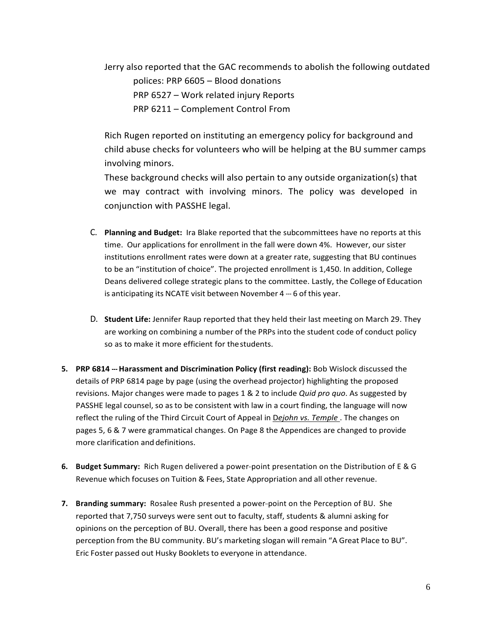Jerry also reported that the GAC recommends to abolish the following outdated polices: PRP 6605 – Blood donations PRP 6527 – Work related injury Reports PRP 6211 – Complement Control From

Rich Rugen reported on instituting an emergency policy for background and child abuse checks for volunteers who will be helping at the BU summer camps involving minors.

These background checks will also pertain to any outside organization(s) that we may contract with involving minors. The policy was developed in conjunction with PASSHE legal.

- C. **Planning and Budget:** Ira Blake reported that the subcommittees have no reports at this time. Our applications for enrollment in the fall were down 4%. However, our sister institutions enrollment rates were down at a greater rate, suggesting that BU continues to be an "institution of choice". The projected enrollment is 1,450. In addition, College Deans delivered college strategic plans to the committee. Lastly, the College of Education is anticipating its NCATE visit between November 4 --- 6 of this year.
- D. **Student Life:** Jennifer Raup reported that they held their last meeting on March 29. They are working on combining a number of the PRPs into the student code of conduct policy so as to make it more efficient for thestudents.
- **5. PRP 6814 --- Harassment and Discrimination Policy (first reading):** Bob Wislock discussed the details of PRP 6814 page by page (using the overhead projector) highlighting the proposed revisions. Major changes were made to pages 1 & 2 to include *Quid pro quo*. As suggested by PASSHE legal counsel, so as to be consistent with law in a court finding, the language will now reflect the ruling of the Third Circuit Court of Appeal in D*ejohn vs. Temple* . The changes on pages 5, 6 & 7 were grammatical changes. On Page 8 the Appendices are changed to provide more clarification and definitions.
- **6. Budget Summary:** Rich Rugen delivered a power-point presentation on the Distribution of E & G Revenue which focuses on Tuition & Fees, State Appropriation and all other revenue.
- **7.** Branding summary: Rosalee Rush presented a power-point on the Perception of BU. She reported that 7,750 surveys were sent out to faculty, staff, students & alumni asking for opinions on the perception of BU. Overall, there has been a good response and positive perception from the BU community. BU's marketing slogan will remain "A Great Place to BU". Eric Foster passed out Husky Booklets to everyone in attendance.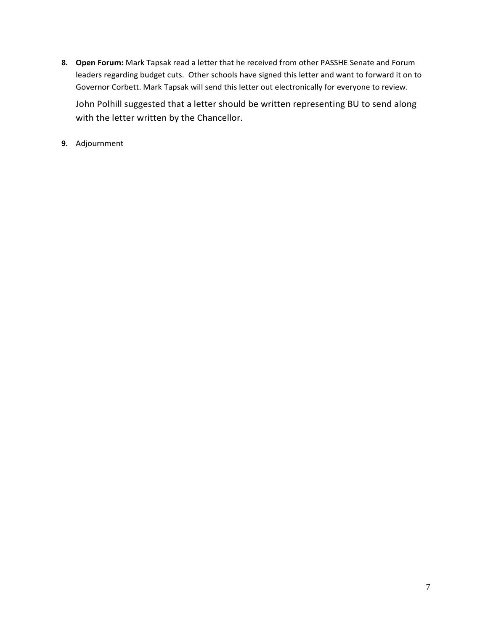- **8. Open Forum:** Mark Tapsak read a letter that he received from other PASSHE Senate and Forum leaders regarding budget cuts. Other schools have signed this letter and want to forward it on to Governor Corbett. Mark Tapsak will send this letter out electronically for everyone to review. John Polhill suggested that a letter should be written representing BU to send along with the letter written by the Chancellor.
- **9.** Adjournment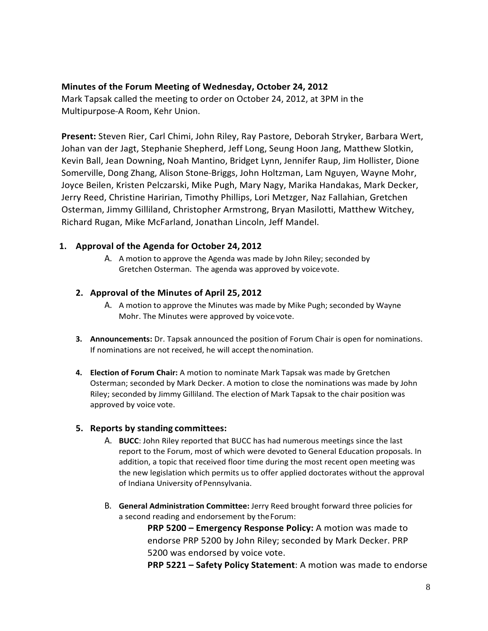# <span id="page-7-0"></span>**Minutes of the Forum Meeting of Wednesday, October 24, 2012**

Mark Tapsak called the meeting to order on October 24, 2012, at 3PM in the Multipurpose-A Room, Kehr Union.

**Present:** Steven Rier, Carl Chimi, John Riley, Ray Pastore, Deborah Stryker, Barbara Wert, Johan van der Jagt, Stephanie Shepherd, Jeff Long, Seung Hoon Jang, Matthew Slotkin, Kevin Ball, Jean Downing, Noah Mantino, Bridget Lynn, Jennifer Raup, Jim Hollister, Dione Somerville, Dong Zhang, Alison Stone-Briggs, John Holtzman, Lam Nguyen, Wayne Mohr, Joyce Beilen, Kristen Pelczarski, Mike Pugh, Mary Nagy, Marika Handakas, Mark Decker, Jerry Reed, Christine Haririan, Timothy Phillips, Lori Metzger, Naz Fallahian, Gretchen Osterman, Jimmy Gilliland, Christopher Armstrong, Bryan Masilotti, Matthew Witchey, Richard Rugan, Mike McFarland, Jonathan Lincoln, Jeff Mandel.

# **1. Approval of the Agenda for October 24, 2012**

A. A motion to approve the Agenda was made by John Riley; seconded by Gretchen Osterman. The agenda was approved by voicevote.

# **2. Approval of the Minutes of April 25, 2012**

- A. A motion to approve the Minutes was made by Mike Pugh; seconded by Wayne Mohr. The Minutes were approved by voice vote.
- **3. Announcements:** Dr. Tapsak announced the position of Forum Chair is open for nominations. If nominations are not received, he will accept the nomination.
- **4. Election of Forum Chair:** A motion to nominate Mark Tapsak was made by Gretchen Osterman; seconded by Mark Decker. A motion to close the nominations was made by John Riley; seconded by Jimmy Gilliland. The election of Mark Tapsak to the chair position was approved by voice vote.

#### **5. Reports by standing committees:**

- A. **BUCC**: John Riley reported that BUCC has had numerous meetings since the last report to the Forum, most of which were devoted to General Education proposals. In addition, a topic that received floor time during the most recent open meeting was the new legislation which permits us to offer applied doctorates without the approval of Indiana University of Pennsylvania.
- B. **General Administration Committee:** Jerry Reed brought forward three policies for a second reading and endorsement by theForum:

**PRP 5200 – Emergency Response Policy:** A motion was made to endorse PRP 5200 by John Riley; seconded by Mark Decker. PRP 5200 was endorsed by voice vote.

**PRP 5221 – Safety Policy Statement**: A motion was made to endorse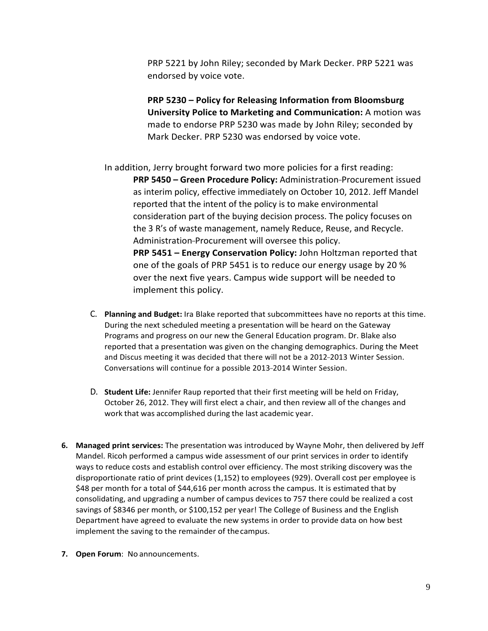PRP 5221 by John Riley; seconded by Mark Decker. PRP 5221 was endorsed by voice vote.

**PRP 5230 – Policy for Releasing Information from Bloomsburg University Police to Marketing and Communication:** A motion was made to endorse PRP 5230 was made by John Riley; seconded by Mark Decker. PRP 5230 was endorsed by voice vote.

In addition, Jerry brought forward two more policies for a first reading: **PRP 5450 - Green Procedure Policy: Administration-Procurement issued** as interim policy, effective immediately on October 10, 2012. Jeff Mandel reported that the intent of the policy is to make environmental consideration part of the buying decision process. The policy focuses on the 3 R's of waste management, namely Reduce, Reuse, and Recycle. Administration-Procurement will oversee this policy. **PRP 5451 – Energy Conservation Policy:** John Holtzman reported that one of the goals of PRP 5451 is to reduce our energy usage by 20 % over the next five years. Campus wide support will be needed to implement this policy.

- C. **Planning and Budget:** Ira Blake reported that subcommittees have no reports at this time. During the next scheduled meeting a presentation will be heard on the Gateway Programs and progress on our new the General Education program. Dr. Blake also reported that a presentation was given on the changing demographics. During the Meet and Discus meeting it was decided that there will not be a 2012-2013 Winter Session. Conversations will continue for a possible 2013-2014 Winter Session.
- D. **Student Life:** Jennifer Raup reported that their first meeting will be held on Friday, October 26, 2012. They will first elect a chair, and then review all of the changes and work that was accomplished during the last academic year.
- **6. Managed print services:** The presentation was introduced by Wayne Mohr, then delivered by Jeff Mandel. Ricoh performed a campus wide assessment of our print services in order to identify ways to reduce costs and establish control over efficiency. The most striking discovery was the disproportionate ratio of print devices (1,152) to employees (929). Overall cost per employee is \$48 per month for a total of \$44,616 per month across the campus. It is estimated that by consolidating, and upgrading a number of campus devices to 757 there could be realized a cost savings of \$8346 per month, or \$100,152 per year! The College of Business and the English Department have agreed to evaluate the new systems in order to provide data on how best implement the saving to the remainder of thecampus.
- **7. Open Forum**: No announcements.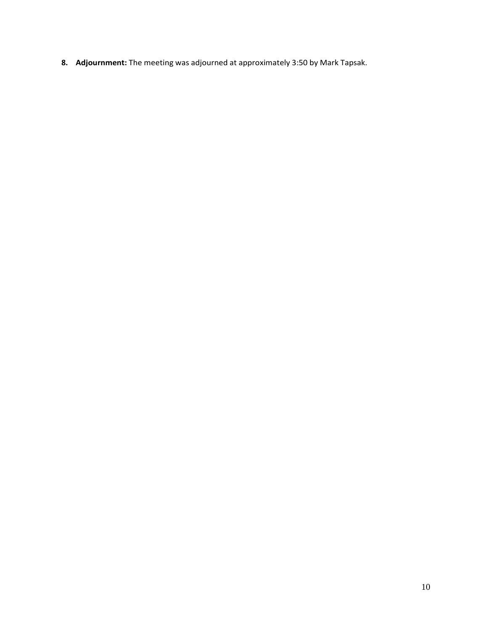**8. Adjournment:** The meeting was adjourned at approximately 3:50 by Mark Tapsak.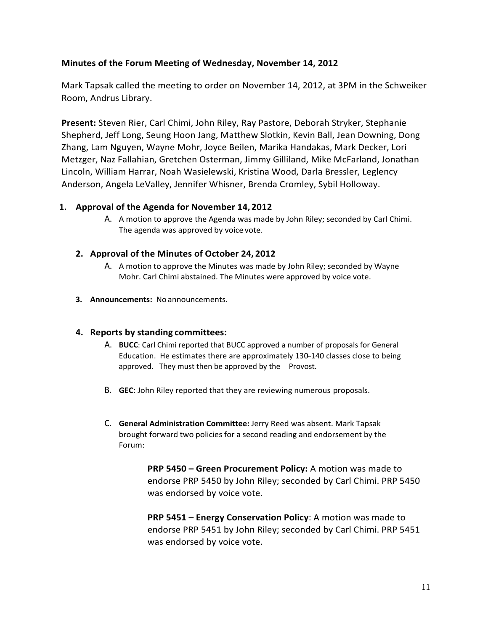# <span id="page-10-0"></span>**Minutes of the Forum Meeting of Wednesday, November 14, 2012**

Mark Tapsak called the meeting to order on November 14, 2012, at 3PM in the Schweiker Room, Andrus Library.

**Present:** Steven Rier, Carl Chimi, John Riley, Ray Pastore, Deborah Stryker, Stephanie Shepherd, Jeff Long, Seung Hoon Jang, Matthew Slotkin, Kevin Ball, Jean Downing, Dong Zhang, Lam Nguyen, Wayne Mohr, Joyce Beilen, Marika Handakas, Mark Decker, Lori Metzger, Naz Fallahian, Gretchen Osterman, Jimmy Gilliland, Mike McFarland, Jonathan Lincoln, William Harrar, Noah Wasielewski, Kristina Wood, Darla Bressler, Leglency Anderson, Angela LeValley, Jennifer Whisner, Brenda Cromley, Sybil Holloway.

# **1. Approval of the Agenda for November 14, 2012**

A. A motion to approve the Agenda was made by John Riley; seconded by Carl Chimi. The agenda was approved by voice vote.

# **2. Approval of the Minutes of October 24, 2012**

- A. A motion to approve the Minutes was made by John Riley; seconded by Wayne Mohr. Carl Chimi abstained. The Minutes were approved by voice vote.
- **3. Announcements:** No announcements.

#### **4. Reports by standing committees:**

- A. **BUCC**: Carl Chimi reported that BUCC approved a number of proposals for General Education. He estimates there are approximately 130-140 classes close to being approved. They must then be approved by the Provost.
- B. **GEC**: John Riley reported that they are reviewing numerous proposals.
- C. **General Administration Committee:** Jerry Reed was absent. Mark Tapsak brought forward two policies for a second reading and endorsement by the Forum:

**PRP 5450 – Green Procurement Policy:** A motion was made to endorse PRP 5450 by John Riley; seconded by Carl Chimi. PRP 5450 was endorsed by voice vote.

**PRP 5451 – Energy Conservation Policy**: A motion was made to endorse PRP 5451 by John Riley; seconded by Carl Chimi. PRP 5451 was endorsed by voice vote.